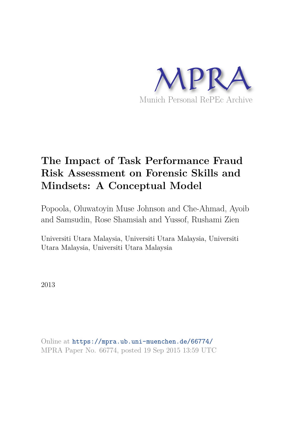

# **The Impact of Task Performance Fraud Risk Assessment on Forensic Skills and Mindsets: A Conceptual Model**

Popoola, Oluwatoyin Muse Johnson and Che-Ahmad, Ayoib and Samsudin, Rose Shamsiah and Yussof, Rushami Zien

Universiti Utara Malaysia, Universiti Utara Malaysia, Universiti Utara Malaysia, Universiti Utara Malaysia

2013

Online at https://mpra.ub.uni-muenchen.de/66774/ MPRA Paper No. 66774, posted 19 Sep 2015 13:59 UTC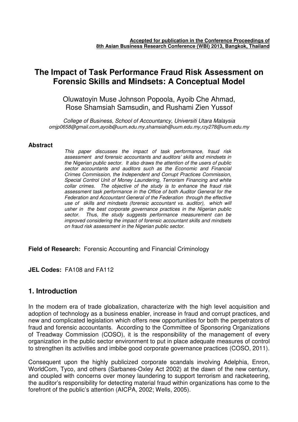# **The Impact of Task Performance Fraud Risk Assessment on Forensic Skills and Mindsets: A Conceptual Model**

Oluwatoyin Muse Johnson Popoola, Ayoib Che Ahmad, Rose Shamsiah Samsudin, and Rushami Zien Yussof

*College of Business, School of Accountancy, Universiti Utara Malaysia omjp0658@gmail.com,ayoib@uum.edu.my,shamsiah@uum.edu.my,rzy278@uum.edu.my* 

#### **Abstract**

*This paper discusses the impact of task performance, fraud risk assessment and forensic accountants and auditors' skills and mindsets in the Nigerian public sector. It also draws the attention of the users of public sector accountants and auditors such as the Economic and Financial Crimes Commission, the Independent and Corrupt Practices Commission, Special Control Unit of Money Laundering, Terrorism Financing and white collar crimes. The objective of the study is to enhance the fraud risk assessment task performance in the Office of both Auditor General for the Federation and Accountant General of the Federation through the effective use of skills and mindsets (forensic accountant vs. auditor), which will usher in the best corporate governance practices in the Nigerian public sector. Thus, the study suggests performance measurement can be improved considering the impact of forensic accountant skills and mindsets on fraud risk assessment in the Nigerian public sector.* 

**Field of Research:** Forensic Accounting and Financial Criminology

**JEL Codes:** FA108 and FA112

# **1. Introduction**

In the modern era of trade globalization, characterize with the high level acquisition and adoption of technology as a business enabler, increase in fraud and corrupt practices, and new and complicated legislation which offers new opportunities for both the perpetrators of fraud and forensic accountants. According to the Committee of Sponsoring Organizations of Treadway Commission (COSO), it is the responsibility of the management of every organization in the public sector environment to put in place adequate measures of control to strengthen its activities and imbibe good corporate governance practices (COSO, 2011).

Consequent upon the highly publicized corporate scandals involving Adelphia, Enron, WorldCom, Tyco, and others (Sarbanes-Oxley Act 2002) at the dawn of the new century, and coupled with concerns over money laundering to support terrorism and racketeering, the auditor's responsibility for detecting material fraud within organizations has come to the forefront of the public's attention (AICPA, 2002; Wells, 2005).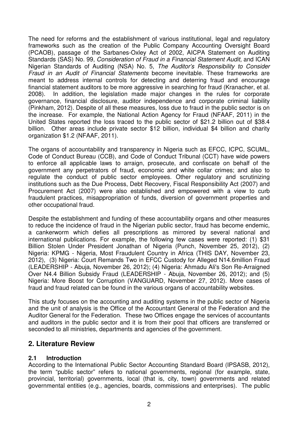The need for reforms and the establishment of various institutional, legal and regulatory frameworks such as the creation of the Public Company Accounting Oversight Board (PCAOB), passage of the Sarbanes-Oxley Act of 2002, AICPA Statement on Auditing Standards (SAS) No. 99, *Consideration of Fraud in a Financial Statement Audit,* and ICAN Nigerian Standards of Auditing (NSA) No. 5, *The Auditor's Responsibility to Consider Fraud in an Audit of Financial Statements* become inevitable*.* These frameworks are meant to address internal controls for detecting and deterring fraud and encourage financial statement auditors to be more aggressive in searching for fraud (Kranacher, et al. 2008). In addition, the legislation made major changes in the rules for corporate governance, financial disclosure, auditor independence and corporate criminal liability (Pinkham, 2012). Despite of all these measures, loss due to fraud in the public sector is on the increase. For example, the National Action Agency for Fraud (NFAAF, 2011) in the United States reported the loss traced to the public sector of \$21.2 billion out of \$38.4 billion. Other areas include private sector \$12 billion, individual \$4 billion and charity organization \$1.2 (NFAAF, 2011).

The organs of accountability and transparency in Nigeria such as EFCC, ICPC, SCUML, Code of Conduct Bureau (CCB), and Code of Conduct Tribunal (CCT) have wide powers to enforce all applicable laws to arraign, prosecute, and confiscate on behalf of the government any perpetrators of fraud, economic and white collar crimes; and also to regulate the conduct of public sector employees. Other regulatory and scrutinizing institutions such as the Due Process, Debt Recovery, Fiscal Responsibility Act (2007) and Procurement Act (2007) were also established and empowered with a view to curb fraudulent practices, misappropriation of funds, diversion of government properties and other occupational fraud.

Despite the establishment and funding of these accountability organs and other measures to reduce the incidence of fraud in the Nigerian public sector, fraud has become endemic, a cankerworm which defies all prescriptions as mirrored by several national and international publications. For example, the following few cases were reported: (1) \$31 Billion Stolen Under President Jonathan of Nigeria (Punch, November 25, 2012), (2) Nigeria: KPMG - Nigeria, Most Fraudulent Country in Africa (THIS DAY, November 23, 2012), (3) Nigeria: Court Remands Two in EFCC Custody for Alleged N14.6million Fraud (LEADERSHIP - Abuja, November 26, 2012); (4) Nigeria: Ahmadu Ali's Son Re-Arraigned Over N4.4 Billion Subsidy Fraud (LEADERSHIP - Abuja, November 26, 2012); and (5) Nigeria: More Boost for Corruption (VANGUARD, November 27, 2012). More cases of fraud and fraud related can be found in the various organs of accountability websites.

This study focuses on the accounting and auditing systems in the public sector of Nigeria and the unit of analysis is the Office of the Accountant General of the Federation and the Auditor General for the Federation. These two Offices engage the services of accountants and auditors in the public sector and it is from their pool that officers are transferred or seconded to all ministries, departments and agencies of the government.

# **2. Literature Review**

# **2.1 Introduction**

According to the International Public Sector Accounting Standard Board (IPSASB, 2012), the term "public sector" refers to national governments, regional (for example, state, provincial, territorial) governments, local (that is, city, town) governments and related governmental entities (e.g., agencies, boards, commissions and enterprises). The public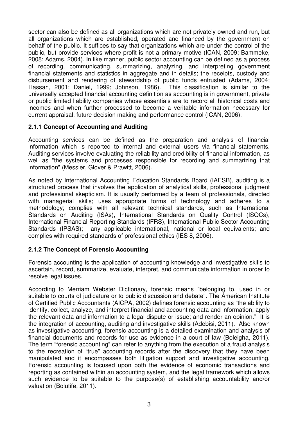sector can also be defined as all organizations which are not privately owned and run, but all organizations which are established, operated and financed by the government on behalf of the public. It suffices to say that organizations which are under the control of the public, but provide services where profit is not a primary motive (ICAN, 2009; Bammeke, 2008; Adams, 2004). In like manner, public sector accounting can be defined as a process of recording, communicating, summarizing, analyzing, and interpreting government financial statements and statistics in aggregate and in details; the receipts, custody and disbursement and rendering of stewardship of public funds entrusted (Adams, 2004; Hassan, 2001; Daniel, 1999; Johnson, 1986). This classification is similar to the universally accepted financial accounting definition as accounting is in government, private or public limited liability companies whose essentials are to record all historical costs and incomes and when further processed to become a veritable information necessary for current appraisal, future decision making and performance control (ICAN, 2006).

#### **2.1.1 Concept of Accounting and Auditing**

Accounting services can be defined as the preparation and analysis of financial information which is reported to internal and external users via financial statements. Auditing services involve evaluating the reliability and credibility of financial information, as well as "the systems and processes responsible for recording and summarizing that information" (Messier, Glover & Prawitt, 2006).

As noted by International Accounting Education Standards Board (IAESB), auditing is a structured process that involves the application of analytical skills, professional judgment and professional skepticism. It is usually performed by a team of professionals, directed with managerial skills; uses appropriate forms of technology and adheres to a methodology; complies with all relevant technical standards, such as International Standards on Auditing (ISAs), International Standards on Quality Control (ISQCs), International Financial Reporting Standards (IFRS), International Public Sector Accounting Standards (IPSAS); any applicable international, national or local equivalents; and complies with required standards of professional ethics (IES 8, 2006).

#### **2.1.2 The Concept of Forensic Accounting**

Forensic accounting is the application of accounting knowledge and investigative skills to ascertain, record, summarize, evaluate, interpret, and communicate information in order to resolve legal issues.

According to Merriam Webster Dictionary, forensic means "belonging to, used in or suitable to courts of judicature or to public discussion and debate". The American Institute of Certified Public Accountants (AICPA, 2002) defines forensic accounting as "the ability to identify, collect, analyze, and interpret financial and accounting data and information; apply the relevant data and information to a legal dispute or issue; and render an opinion." It is the integration of accounting, auditing and investigative skills (Adebisi, 2011). Also known as investigative accounting, forensic accounting is a detailed examination and analysis of financial documents and records for use as evidence in a court of law (Boleigha, 2011). The term "forensic accounting" can refer to anything from the execution of a fraud analysis to the recreation of "true" accounting records after the discovery that they have been manipulated and it encompasses both litigation support and investigative accounting. Forensic accounting is focused upon both the evidence of economic transactions and reporting as contained within an accounting system, and the legal framework which allows such evidence to be suitable to the purpose(s) of establishing accountability and/or valuation (Bolutife, 2011).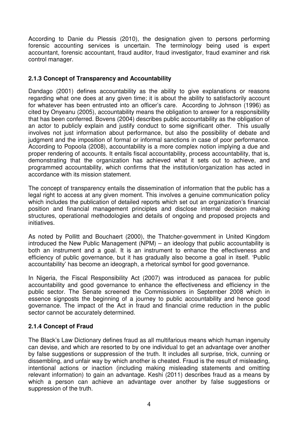According to Danie du Plessis (2010), the designation given to persons performing forensic accounting services is uncertain. The terminology being used is expert accountant, forensic accountant, fraud auditor, fraud investigator, fraud examiner and risk control manager.

#### **2.1.3 Concept of Transparency and Accountability**

Dandago (2001) defines accountability as the ability to give explanations or reasons regarding what one does at any given time; it is about the ability to satisfactorily account for whatever has been entrusted into an officer's care. According to Johnson (1996) as cited by Onyeanu (2005), accountability means the obligation to answer for a responsibility that has been conferred. Bovens (2004) describes public accountability as the obligation of an actor to publicly explain and justify conduct to some significant other. This usually involves not just information about performance, but also the possibility of debate and judgment and the imposition of formal or informal sanctions in case of poor performance. According to Popoola (2008), accountability is a more complex notion implying a due and proper rendering of accounts. It entails fiscal accountability, process accountability, that is, demonstrating that the organization has achieved what it sets out to achieve, and programmed accountability, which confirms that the institution/organization has acted in accordance with its mission statement.

The concept of transparency entails the dissemination of information that the public has a legal right to access at any given moment. This involves a genuine communication policy which includes the publication of detailed reports which set out an organization's financial position and financial management principles and disclose internal decision making structures, operational methodologies and details of ongoing and proposed projects and initiatives.

As noted by Pollitt and Bouchaert (2000), the Thatcher-government in United Kingdom introduced the New Public Management (NPM) – an ideology that public accountability is both an instrument and a goal. It is an instrument to enhance the effectiveness and efficiency of public governance, but it has gradually also become a goal in itself. 'Public accountability' has become an ideograph, a rhetorical symbol for good governance.

In Nigeria, the Fiscal Responsibility Act (2007) was introduced as panacea for public accountability and good governance to enhance the effectiveness and efficiency in the public sector. The Senate screened the Commissioners in September 2008 which in essence signposts the beginning of a journey to public accountability and hence good governance. The impact of the Act in fraud and financial crime reduction in the public sector cannot be accurately determined.

# **2.1.4 Concept of Fraud**

The Black's Law Dictionary defines fraud as all multifarious means which human ingenuity can devise, and which are resorted to by one individual to get an advantage over another by false suggestions or suppression of the truth. It includes all surprise, trick, cunning or dissembling, and unfair way by which another is cheated. Fraud is the result of misleading, intentional actions or inaction (including making misleading statements and omitting relevant information) to gain an advantage. Keshi (2011) describes fraud as a means by which a person can achieve an advantage over another by false suggestions or suppression of the truth.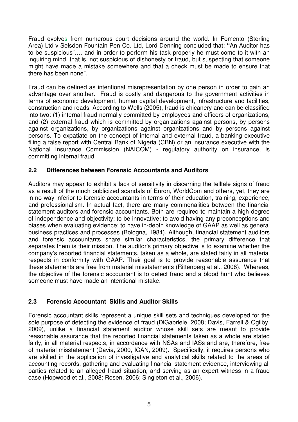Fraud evolves from numerous court decisions around the world. In Fomento (Sterling Area) Ltd v Selsdon Fountain Pen Co. Ltd, Lord Denning concluded that: **"**An Auditor has to be suspicious"…. and in order to perform his task properly he must come to it with an inquiring mind, that is, not suspicious of dishonesty or fraud, but suspecting that someone might have made a mistake somewhere and that a check must be made to ensure that there has been none".

Fraud can be defined as intentional misrepresentation by one person in order to gain an advantage over another. Fraud is costly and dangerous to the government activities in terms of economic development, human capital development, infrastructure and facilities, construction and roads. According to Wells (2005), fraud is chicanery and can be classified into two: (1) internal fraud normally committed by employees and officers of organizations, and (2) external fraud which is committed by organizations against persons, by persons against organizations, by organizations against organizations and by persons against persons. To expatiate on the concept of internal and external fraud, a banking executive filing a false report with Central Bank of Nigeria (CBN) or an insurance executive with the National Insurance Commission (NAICOM) - regulatory authority on insurance, is committing internal fraud.

#### **2.2 Differences between Forensic Accountants and Auditors**

Auditors may appear to exhibit a lack of sensitivity in discerning the telltale signs of fraud as a result of the much publicized scandals of Enron, WorldCom and others, yet, they are in no way inferior to forensic accountants in terms of their education, training, experience, and professionalism. In actual fact, there are many commonalities between the financial statement auditors and forensic accountants. Both are required to maintain a high degree of independence and objectivity; to be innovative; to avoid having any preconceptions and biases when evaluating evidence; to have in-depth knowledge of GAAP as well as general business practices and processes (Bologna, 1984). Although, financial statement auditors and forensic accountants share similar characteristics, the primary difference that separates them is their mission. The auditor's primary objective is to examine whether the company's reported financial statements, taken as a whole, are stated fairly in all material respects in conformity with GAAP. Their goal is to provide reasonable assurance that these statements are free from material misstatements (Rittenberg et al., 2008). Whereas, the objective of the forensic accountant is to detect fraud and a blood hunt who believes someone must have made an intentional mistake.

#### **2.3 Forensic Accountant Skills and Auditor Skills**

Forensic accountant skills represent a unique skill sets and techniques developed for the sole purpose of detecting the evidence of fraud (DiGabriele, 2008; Davis, Farrell & Ogilby, 2009), unlike a financial statement auditor whose skill sets are meant to provide reasonable assurance that the reported financial statements taken as a whole are stated fairly, in all material respects, in accordance with NSAs and IASs and are, therefore, free of material misstatement (Davia, 2000, ICAN, 2009). Specifically, it requires persons who are skilled in the application of investigative and analytical skills related to the areas of accounting records, gathering and evaluating financial statement evidence, interviewing all parties related to an alleged fraud situation, and serving as an expert witness in a fraud case (Hopwood et al., 2008; Rosen, 2006; Singleton et al., 2006).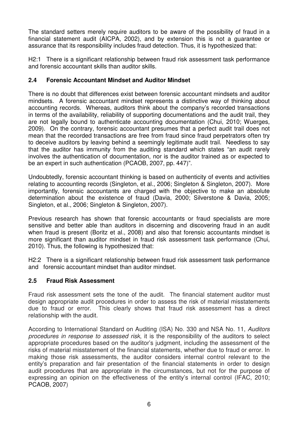The standard setters merely require auditors to be aware of the possibility of fraud in a financial statement audit (AICPA, 2002), and by extension this is not a guarantee or assurance that its responsibility includes fraud detection. Thus, it is hypothesized that:

H2:1 There is a significant relationship between fraud risk assessment task performance and forensic accountant skills than auditor skills.

# **2.4 Forensic Accountant Mindset and Auditor Mindset**

There is no doubt that differences exist between forensic accountant mindsets and auditor mindsets. A forensic accountant mindset represents a distinctive way of thinking about accounting records. Whereas, auditors think about the company's recorded transactions in terms of the availability, reliability of supporting documentations and the audit trail, they are not legally bound to authenticate accounting documentation (Chui, 2010; Wuerges, 2009). On the contrary, forensic accountant presumes that a perfect audit trail does not mean that the recorded transactions are free from fraud since fraud perpetrators often try to deceive auditors by leaving behind a seemingly legitimate audit trail. Needless to say that the auditor has immunity from the auditing standard which states "an audit rarely involves the authentication of documentation, nor is the auditor trained as or expected to be an expert in such authentication (PCAOB, 2007, pp. 447)".

Undoubtedly, forensic accountant thinking is based on authenticity of events and activities relating to accounting records (Singleton, et al., 2006; Singleton & Singleton, 2007). More importantly, forensic accountants are charged with the objective to make an absolute determination about the existence of fraud (Davia, 2000; Silverstone & Davia, 2005; Singleton, et al., 2006; Singleton & Singleton, 2007).

Previous research has shown that forensic accountants or fraud specialists are more sensitive and better able than auditors in discerning and discovering fraud in an audit when fraud is present (Boritz et al., 2008) and also that forensic accountants mindset is more significant than auditor mindset in fraud risk assessment task performance (Chui, 2010). Thus, the following is hypothesized that:

H2:2 There is a significant relationship between fraud risk assessment task performance and forensic accountant mindset than auditor mindset.

# **2.5 Fraud Risk Assessment**

Fraud risk assessment sets the tone of the audit. The financial statement auditor must design appropriate audit procedures in order to assess the risk of material misstatements due to fraud or error. This clearly shows that fraud risk assessment has a direct relationship with the audit.

According to International Standard on Auditing (ISA) No. 330 and NSA No. 11, *Auditors procedures in response to assessed risk*, it is the responsibility of the auditors to select appropriate procedures based on the auditor's judgment, including the assessment of the risks of material misstatement of the financial statements, whether due to fraud or error. In making those risk assessments, the auditor considers internal control relevant to the entity's preparation and fair presentation of the financial statements in order to design audit procedures that are appropriate in the circumstances, but not for the purpose of expressing an opinion on the effectiveness of the entity's internal control (IFAC, 2010; PCAOB, 2007)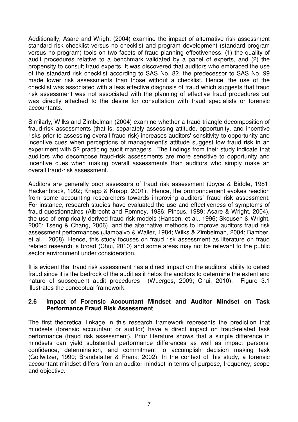Additionally, Asare and Wright (2004) examine the impact of alternative risk assessment standard risk checklist versus no checklist and program development (standard program versus no program) tools on two facets of fraud planning effectiveness: (1) the quality of audit procedures relative to a benchmark validated by a panel of experts, and (2) the propensity to consult fraud experts. It was discovered that auditors who embraced the use of the standard risk checklist according to SAS No. 82, the predecessor to SAS No. 99 made lower risk assessments than those without a checklist. Hence, the use of the checklist was associated with a less effective diagnosis of fraud which suggests that fraud risk assessment was not associated with the planning of effective fraud procedures but was directly attached to the desire for consultation with fraud specialists or forensic accountants.

Similarly, Wilks and Zimbelman (2004) examine whether a fraud-triangle decomposition of fraud-risk assessments (that is, separately assessing attitude, opportunity, and incentive risks prior to assessing overall fraud risk) increases auditors' sensitivity to opportunity and incentive cues when perceptions of management's attitude suggest low fraud risk in an experiment with 52 practicing audit managers. The findings from their study indicate that auditors who decompose fraud-risk assessments are more sensitive to opportunity and incentive cues when making overall assessments than auditors who simply make an overall fraud-risk assessment.

Auditors are generally poor assessors of fraud risk assessment (Joyce & Biddle, 1981; Hackenbrack, 1992; Knapp & Knapp, 2001). Hence, the pronouncement evokes reaction from some accounting researchers towards improving auditors' fraud risk assessment. For instance, research studies have evaluated the use and effectiveness of symptoms of fraud questionnaires (Albrecht and Romney, 1986; Pincus, 1989; Asare & Wright, 2004), the use of empirically derived fraud risk models (Hansen, et al., 1996; Skousen & Wright, 2006; Tseng & Chang, 2006), and the alternative methods to improve auditors fraud risk assessment performances (Jiambalvo & Waller, 1984; Wilks & Zimbelman, 2004; Bamber, et al., 2008). Hence, this study focuses on fraud risk assessment as literature on fraud related research is broad (Chui, 2010) and some areas may not be relevant to the public sector environment under consideration.

It is evident that fraud risk assessment has a direct impact on the auditors' ability to detect fraud since it is the bedrock of the audit as it helps the auditors to determine the extent and nature of subsequent audit procedures (Wuerges, 2009; Chui, 2010). Figure 3.1 illustrates the conceptual framework.

#### **2.6 Impact of Forensic Accountant Mindset and Auditor Mindset on Task Performance Fraud Risk Assessment**

The first theoretical linkage in this research framework represents the prediction that mindsets (forensic accountant or auditor) have a direct impact on fraud-related task performance (fraud risk assessment). Prior literature shows that a simple difference in mindsets can yield substantial performance differences as well as impact persons' confidence, determination, and commitment to accomplish decision making task (Gollwitzer, 1990; Brandstatter & Frank, 2002). In the context of this study, a forensic accountant mindset differs from an auditor mindset in terms of purpose, frequency, scope and objective.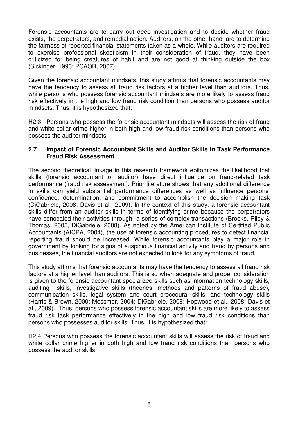Forensic accountants are to carry out deep investigation and to decide whether fraud exists, the perpetrators, and remedial action. Auditors, on the other hand, are to determine the fairness of reported financial statements taken as a whole. While auditors are required to exercise professional skepticism in their consideration of fraud, they have been criticized for being creatures of habit and are not good at thinking outside the box (Sickinger, 1995; PCAOB, 2007).

Given the forensic accountant mindsets, this study affirms that forensic accountants may have the tendency to assess all fraud risk factors at a higher level than auditors. Thus, while persons who possess forensic accountant mindsets are more likely to assess fraud risk effectively in the high and low fraud risk condition than persons who possess auditor mindsets. Thus, it is hypothesized that:

H2:3 Persons who possess the forensic accountant mindsets will assess the risk of fraud and white collar crime higher in both high and low fraud risk conditions than persons who possess the auditor mindsets.

#### **2.7 Impact of Forensic Accountant Skills and Auditor Skills in Task Performance Fraud Risk Assessment**

The second theoretical linkage in this research framework epitomizes the likelihood that skills (forensic accountant or auditor) have direct influence on fraud-related task performance (fraud risk assessment). Prior literature shows that any additional difference in skills can yield substantial performance differences as well as influence persons' confidence, determination, and commitment to accomplish the decision making task (DiGabriele, 2008; Davis et al., 2009). In the context of this study, a forensic accountant skills differ from an auditor skills in terms of identifying crime because the perpetrators have concealed their activities through a series of complex transactions (Brooks, Riley & Thomas, 2005, DiGabriele, 2008). As noted by the American Institute of Certified Public Accountants (AICPA, 2004), the use of forensic accounting procedures to detect financial reporting fraud should be increased. While forensic accountants play a major role in government by looking for signs of suspicious financial activity and fraud by persons and businesses, the financial auditors are not expected to look for any symptoms of fraud.

This study affirms that forensic accountants may have the tendency to assess all fraud risk factors at a higher level than auditors. This is so when adequate and proper consideration is given to the forensic accountant specialized skills such as information technology skills, auditing skills, investigative skills (theories, methods and patterns of fraud abuse), communication skills, legal system and court procedural skills, and technology skills (Harris & Brown, 2000; Messmer, 2004; DiGabriele, 2008; Hopwood et al., 2008; Davis et al., 2009). Thus, persons who possess forensic accountant skills are more likely to assess fraud risk task performance effectively in the high and low fraud risk conditions than persons who possesses auditor skills. Thus, it is hypothesized that:

H2:4 Persons who possess the forensic accountant skills will assess the risk of fraud and white collar crime higher in both high and low fraud risk conditions than persons who possess the auditor skills.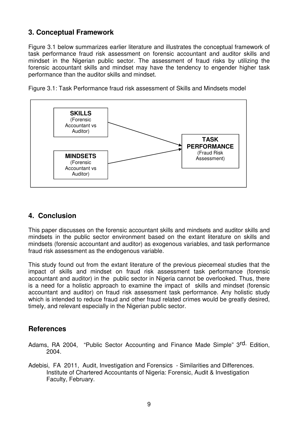# **3. Conceptual Framework**

Figure 3.1 below summarizes earlier literature and illustrates the conceptual framework of task performance fraud risk assessment on forensic accountant and auditor skills and mindset in the Nigerian public sector. The assessment of fraud risks by utilizing the forensic accountant skills and mindset may have the tendency to engender higher task performance than the auditor skills and mindset.

Figure 3.1: Task Performance fraud risk assessment of Skills and Mindsets model



# **4. Conclusion**

This paper discusses on the forensic accountant skills and mindsets and auditor skills and mindsets in the public sector environment based on the extant literature on skills and mindsets (forensic accountant and auditor) as exogenous variables, and task performance fraud risk assessment as the endogenous variable.

This study found out from the extant literature of the previous piecemeal studies that the impact of skills and mindset on fraud risk assessment task performance (forensic accountant and auditor) in the public sector in Nigeria cannot be overlooked. Thus, there is a need for a holistic approach to examine the impact of skills and mindset (forensic accountant and auditor) on fraud risk assessment task performance. Any holistic study which is intended to reduce fraud and other fraud related crimes would be greatly desired, timely, and relevant especially in the Nigerian public sector.

# **References**

- Adams, RA 2004, "Public Sector Accounting and Finance Made Simple" 3<sup>rd.</sup> Edition, 2004.
- Adebisi, FA 2011, Audit, Investigation and Forensics Similarities and Differences. Institute of Chartered Accountants of Nigeria: Forensic, Audit & Investigation Faculty, February.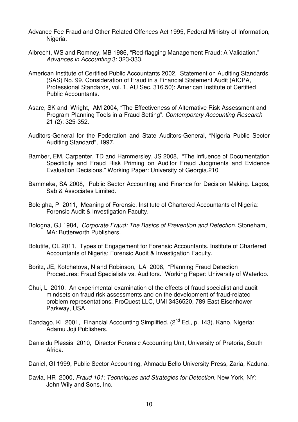- Advance Fee Fraud and Other Related Offences Act 1995, Federal Ministry of Information, Nigeria.
- Albrecht, WS and Romney, MB 1986, "Red-flagging Management Fraud: A Validation." *Advances in Accounting* 3: 323-333.
- American Institute of Certified Public Accountants 2002, Statement on Auditing Standards (SAS) No. 99, Consideration of Fraud in a Financial Statement Audit (AICPA, Professional Standards, vol. 1, AU Sec. 316.50): American Institute of Certified Public Accountants.
- Asare, SK and Wright, AM 2004, "The Effectiveness of Alternative Risk Assessment and Program Planning Tools in a Fraud Setting". *Contemporary Accounting Research*  21 (2): 325-352.
- Auditors-General for the Federation and State Auditors-General, "Nigeria Public Sector Auditing Standard", 1997.
- Bamber, EM, Carpenter, TD and Hammersley, JS 2008, "The Influence of Documentation Specificity and Fraud Risk Priming on Auditor Fraud Judgments and Evidence Evaluation Decisions." Working Paper: University of Georgia.210
- Bammeke, SA 2008, Public Sector Accounting and Finance for Decision Making. Lagos, Sab & Associates Limited.
- Boleigha, P 2011, Meaning of Forensic. Institute of Chartered Accountants of Nigeria: Forensic Audit & Investigation Faculty.
- Bologna, GJ 1984, *Corporate Fraud: The Basics of Prevention and Detection.* Stoneham, MA: Butterworth Publishers.
- Bolutife, OL 2011, Types of Engagement for Forensic Accountants. Institute of Chartered Accountants of Nigeria: Forensic Audit & Investigation Faculty.
- Boritz, JE, Kotchetova, N and Robinson, LA 2008, "Planning Fraud Detection Procedures: Fraud Specialists vs. Auditors." Working Paper: University of Waterloo.
- Chui, L 2010, An experimental examination of the effects of fraud specialist and audit mindsets on fraud risk assessments and on the development of fraud-related problem representations. ProQuest LLC, UMI 3436520, 789 East Eisenhower Parkway, USA
- Dandago, KI 2001, Financial Accounting Simplified. (2<sup>nd</sup> Ed., p. 143). Kano, Nigeria: Adamu Joji Publishers.
- Danie du Plessis 2010, Director Forensic Accounting Unit, University of Pretoria, South Africa.
- Daniel, GI 1999, Public Sector Accounting, Ahmadu Bello University Press, Zaria, Kaduna.
- Davia, HR 2000, *Fraud 101: Techniques and Strategies for Detection*. New York, NY: John Wily and Sons, Inc.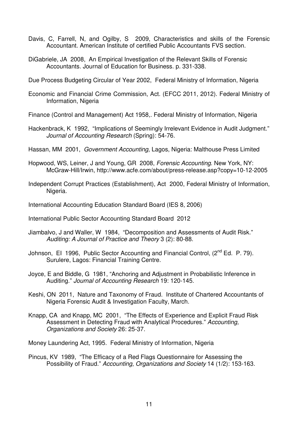- Davis, C, Farrell, N, and Ogilby, S 2009, Characteristics and skills of the Forensic Accountant. American Institute of certified Public Accountants FVS section.
- DiGabriele, JA 2008, An Empirical Investigation of the Relevant Skills of Forensic Accountants. Journal of Education for Business. p. 331-338.

Due Process Budgeting Circular of Year 2002, Federal Ministry of Information, Nigeria

- Economic and Financial Crime Commission, Act. (EFCC 2011, 2012). Federal Ministry of Information, Nigeria
- Finance (Control and Management) Act 1958,. Federal Ministry of Information, Nigeria
- Hackenbrack, K 1992, "Implications of Seemingly Irrelevant Evidence in Audit Judgment." *Journal of Accounting Research* (Spring): 54-76.
- Hassan, MM 2001, *Government Accounting,* Lagos, Nigeria: Malthouse Press Limited
- Hopwood, WS, Leiner, J and Young, GR 2008, *Forensic Accounting*. New York, NY: McGraw-Hill/Irwin, http://www.acfe.com/about/press-release.asp?copy=10-12-2005
- Independent Corrupt Practices (Establishment), Act 2000, Federal Ministry of Information, Nigeria.
- International Accounting Education Standard Board (IES 8, 2006)
- International Public Sector Accounting Standard Board 2012
- Jiambalvo, J and Waller, W 1984, "Decomposition and Assessments of Audit Risk." *Auditing: A Journal of Practice and Theory* 3 (2): 80-88.
- Johnson, El 1996, Public Sector Accounting and Financial Control, (2<sup>nd</sup> Ed. P. 79). Surulere, Lagos: Financial Training Centre.
- Joyce, E and Biddle, G 1981, "Anchoring and Adjustment in Probabilistic Inference in Auditing." *Journal of Accounting Research* 19: 120-145.
- Keshi, ON 2011, Nature and Taxonomy of Fraud. Institute of Chartered Accountants of Nigeria Forensic Audit & Investigation Faculty, March.
- Knapp, CA and Knapp, MC 2001, "The Effects of Experience and Explicit Fraud Risk Assessment in Detecting Fraud with Analytical Procedures." *Accounting, Organizations and Society* 26: 25-37.

Money Laundering Act, 1995. Federal Ministry of Information, Nigeria

Pincus, KV 1989, "The Efficacy of a Red Flags Questionnaire for Assessing the Possibility of Fraud." *Accounting, Organizations and Society* 14 (1/2): 153-163.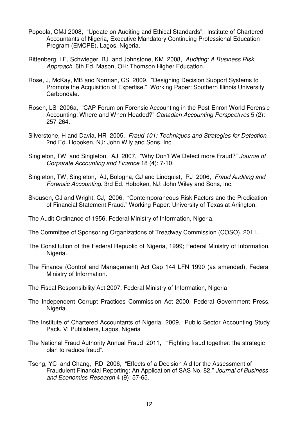- Popoola, OMJ 2008, "Update on Auditing and Ethical Standards", Institute of Chartered Accountants of Nigeria, Executive Mandatory Continuing Professional Education Program (EMCPE), Lagos, Nigeria.
- Rittenberg, LE, Schwieger, BJ and Johnstone, KM 2008, *Auditing: A Business Risk Approach*. 6th Ed. Mason, OH: Thomson Higher Education.
- Rose, J, McKay, MB and Norman, CS 2009, "Designing Decision Support Systems to Promote the Acquisition of Expertise." Working Paper: Southern Illinois University Carbondale.
- Rosen, LS 2006a, "CAP Forum on Forensic Accounting in the Post-Enron World Forensic Accounting: Where and When Headed?" *Canadian Accounting Perspectives* 5 (2): 257-264.
- Silverstone, H and Davia, HR 2005, *Fraud 101: Techniques and Strategies for Detection*. 2nd Ed. Hoboken, NJ: John Wily and Sons, Inc.
- Singleton, TW and Singleton, AJ 2007, "Why Don't We Detect more Fraud?" *Journal of Corporate Accounting and Finance* 18 (4): 7-10.
- Singleton, TW, Singleton, AJ, Bologna, GJ and Lindquist, RJ 2006, *Fraud Auditing and Forensic Accounting*. 3rd Ed. Hoboken, NJ: John Wiley and Sons, Inc.
- Skousen, CJ and Wright, CJ, 2006, "Contemporaneous Risk Factors and the Predication of Financial Statement Fraud." Working Paper: University of Texas at Arlington.
- The Audit Ordinance of 1956, Federal Ministry of Information, Nigeria.
- The Committee of Sponsoring Organizations of Treadway Commission (COSO), 2011.
- The Constitution of the Federal Republic of Nigeria, 1999; Federal Ministry of Information, Nigeria.
- The Finance (Control and Management) Act Cap 144 LFN 1990 (as amended), Federal Ministry of Information.
- The Fiscal Responsibility Act 2007, Federal Ministry of Information, Nigeria
- The Independent Corrupt Practices Commission Act 2000, Federal Government Press, Nigeria.
- The Institute of Chartered Accountants of Nigeria 2009, Public Sector Accounting Study Pack. VI Publishers, Lagos, Nigeria
- The National Fraud Authority Annual Fraud 2011, "Fighting fraud together: the strategic plan to reduce fraud".
- Tseng, YC and Chang, RD 2006, "Effects of a Decision Aid for the Assessment of Fraudulent Financial Reporting: An Application of SAS No. 82." *Journal of Business and Economics Research* 4 (9): 57-65.